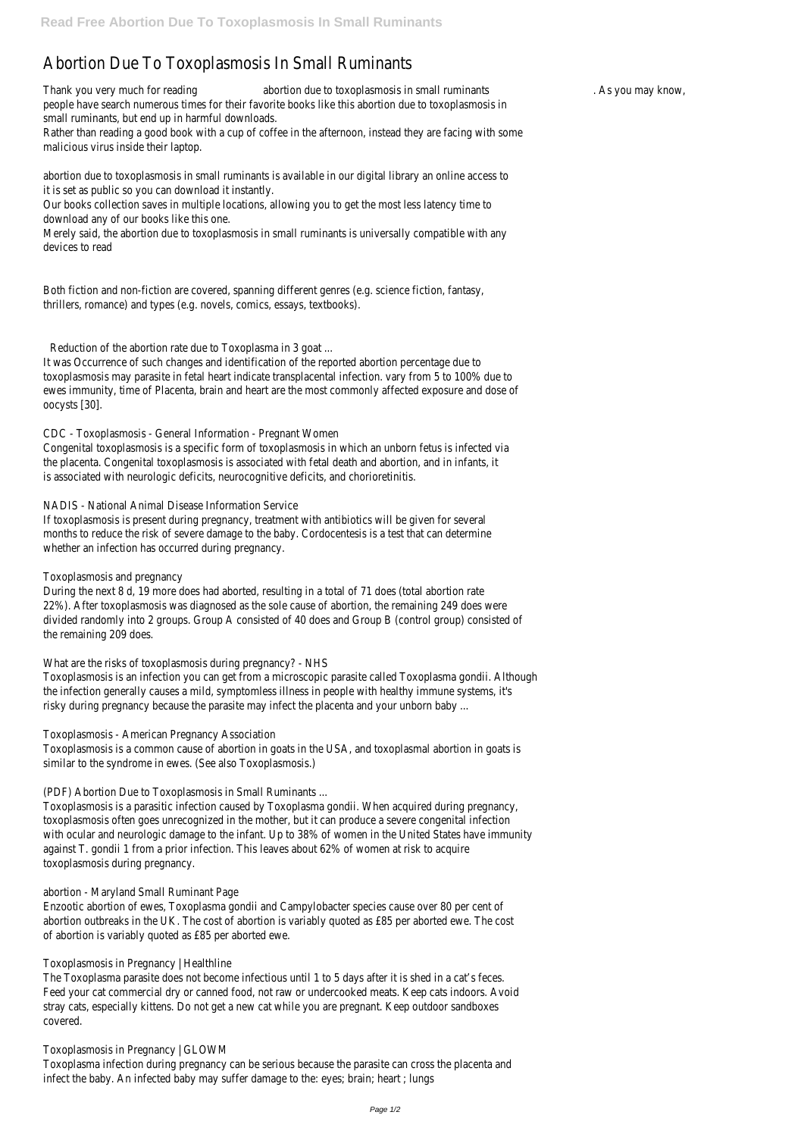# Abortion Due To Toxoplasmosis In Small Ruminants

Thank you very much for reading abortion due to toxoplasmosis in small ruminants . As you may know, people have search numerous times for their favorite books like this abortion due to toxoplasmosis in small ruminants, but end up in harmful downloads.

Rather than reading a good book with a cup of coffee in the afternoon, instead they are facing with some malicious virus inside their laptop.

abortion due to toxoplasmosis in small ruminants is available in our digital library an online access to it is set as public so you can download it instantly.

Our books collection saves in multiple locations, allowing you to get the most less latency time to download any of our books like this one.

Merely said, the abortion due to toxoplasmosis in small ruminants is universally compatible with any devices to read

Both fiction and non-fiction are covered, spanning different genres (e.g. science fiction, fantasy, thrillers, romance) and types (e.g. novels, comics, essays, textbooks).

Reduction of the abortion rate due to Toxoplasma in 3 goat ...

It was Occurrence of such changes and identification of the reported abortion percentage due to toxoplasmosis may parasite in fetal heart indicate transplacental infection. vary from 5 to 100% due to ewes immunity, time of Placenta, brain and heart are the most commonly affected exposure and dose of oocysts [30].

## CDC - Toxoplasmosis - General Information - Pregnant Women

Congenital toxoplasmosis is a specific form of toxoplasmosis in which an unborn fetus is infected via the placenta. Congenital toxoplasmosis is associated with fetal death and abortion, and in infants, it is associated with neurologic deficits, neurocognitive deficits, and chorioretinitis.

#### NADIS - National Animal Disease Information Service

If toxoplasmosis is present during pregnancy, treatment with antibiotics will be given for several months to reduce the risk of severe damage to the baby. Cordocentesis is a test that can determine whether an infection has occurred during pregnancy.

# Toxoplasmosis and pregnancy

During the next 8 d, 19 more does had aborted, resulting in a total of 71 does (total abortion rate 22%). After toxoplasmosis was diagnosed as the sole cause of abortion, the remaining 249 does were divided randomly into 2 groups. Group A consisted of 40 does and Group B (control group) consisted of the remaining 209 does.

What are the risks of toxoplasmosis during pregnancy? - NHS

Toxoplasmosis is an infection you can get from a microscopic parasite called Toxoplasma gondii. Although the infection generally causes a mild, symptomless illness in people with healthy immune systems, it's risky during pregnancy because the parasite may infect the placenta and your unborn baby ...

# Toxoplasmosis - American Pregnancy Association

Toxoplasmosis is a common cause of abortion in goats in the USA, and toxoplasmal abortion in goats is similar to the syndrome in ewes. (See also Toxoplasmosis.)

(PDF) Abortion Due to Toxoplasmosis in Small Ruminants ...

Toxoplasmosis is a parasitic infection caused by Toxoplasma gondii. When acquired during pregnancy, toxoplasmosis often goes unrecognized in the mother, but it can produce a severe congenital infection with ocular and neurologic damage to the infant. Up to 38% of women in the United States have immunity against T. gondii 1 from a prior infection. This leaves about 62% of women at risk to acquire

toxoplasmosis during pregnancy.

abortion - Maryland Small Ruminant Page

Enzootic abortion of ewes, Toxoplasma gondii and Campylobacter species cause over 80 per cent of abortion outbreaks in the UK. The cost of abortion is variably quoted as £85 per aborted ewe. The cost of abortion is variably quoted as £85 per aborted ewe.

Toxoplasmosis in Pregnancy | Healthline

The Toxoplasma parasite does not become infectious until 1 to 5 days after it is shed in a cat's feces. Feed your cat commercial dry or canned food, not raw or undercooked meats. Keep cats indoors. Avoid stray cats, especially kittens. Do not get a new cat while you are pregnant. Keep outdoor sandboxes covered.

#### Toxoplasmosis in Pregnancy | GLOWM

Toxoplasma infection during pregnancy can be serious because the parasite can cross the placenta and infect the baby. An infected baby may suffer damage to the: eyes; brain; heart ; lungs